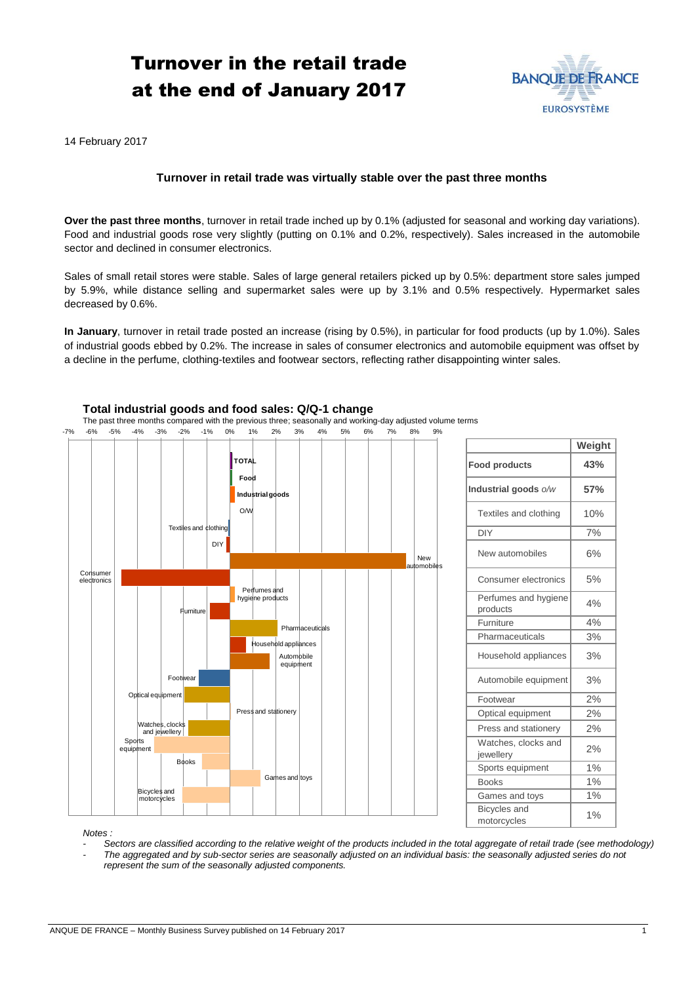# Turnover in the retail trade at the end of January 2017



14 February 2017

## **Turnover in retail trade was virtually stable over the past three months**

**Over the past three months**, turnover in retail trade inched up by 0.1% (adjusted for seasonal and working day variations). Food and industrial goods rose very slightly (putting on 0.1% and 0.2%, respectively). Sales increased in the automobile sector and declined in consumer electronics.

Sales of small retail stores were stable. Sales of large general retailers picked up by 0.5%: department store sales jumped by 5.9%, while distance selling and supermarket sales were up by 3.1% and 0.5% respectively. Hypermarket sales decreased by 0.6%.

**In January**, turnover in retail trade posted an increase (rising by 0.5%), in particular for food products (up by 1.0%). Sales of industrial goods ebbed by 0.2%. The increase in sales of consumer electronics and automobile equipment was offset by a decline in the perfume, clothing-textiles and footwear sectors, reflecting rather disappointing winter sales.



## **Total industrial goods and food sales: Q/Q-1 change**

The past three months compared with the previous three; seasonally and working-day adjusted volume terms

*Notes :* 

- *- Sectors are classified according to the relative weight of the products included in the total aggregate of retail trade (see methodology)*
- *- The aggregated and by sub-sector series are seasonally adjusted on an individual basis: the seasonally adjusted series do not represent the sum of the seasonally adjusted components.*